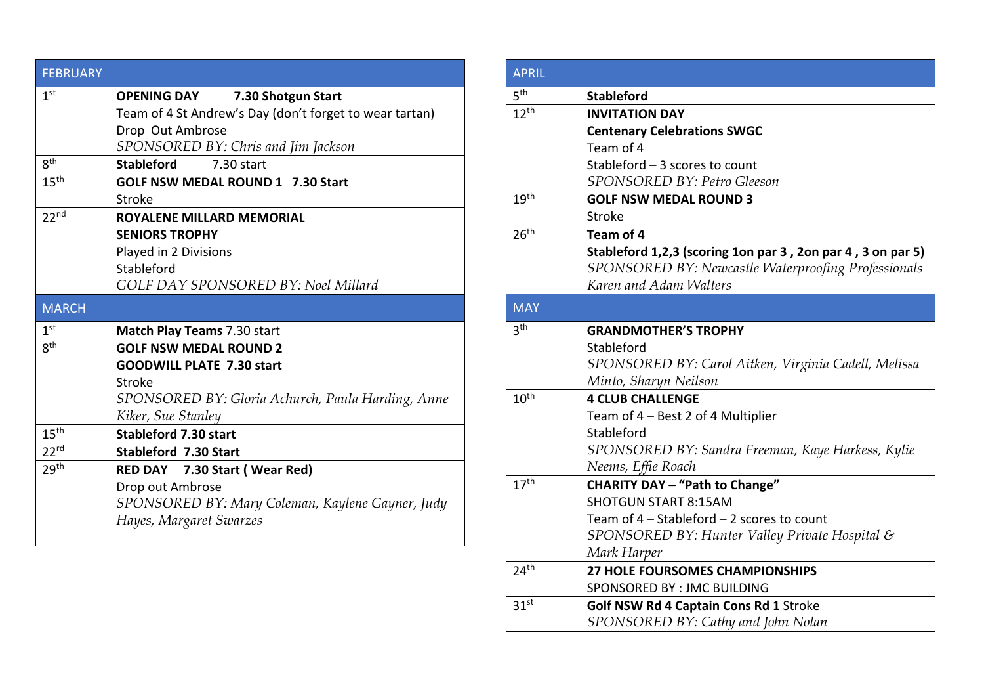| <b>FEBRUARY</b>  |                                                         |
|------------------|---------------------------------------------------------|
| 1 <sup>st</sup>  | <b>OPENING DAY</b><br>7.30 Shotgun Start                |
|                  | Team of 4 St Andrew's Day (don't forget to wear tartan) |
|                  | Drop Out Ambrose                                        |
|                  | SPONSORED BY: Chris and Jim Jackson                     |
| 8 <sup>th</sup>  | <b>Stableford</b><br>7.30 start                         |
| 15 <sup>th</sup> | <b>GOLF NSW MEDAL ROUND 1 7.30 Start</b>                |
|                  | Stroke                                                  |
| 22 <sup>nd</sup> | <b>ROYALENE MILLARD MEMORIAL</b>                        |
|                  | <b>SENIORS TROPHY</b>                                   |
|                  | Played in 2 Divisions                                   |
|                  | Stableford                                              |
|                  | <b>GOLF DAY SPONSORED BY: Noel Millard</b>              |
| <b>MARCH</b>     |                                                         |
| 1 <sup>st</sup>  | Match Play Teams 7.30 start                             |
| gth              | <b>GOLF NSW MEDAL ROUND 2</b>                           |
|                  | <b>GOODWILL PLATE 7.30 start</b>                        |
|                  | Stroke                                                  |
|                  | SPONSORED BY: Gloria Achurch, Paula Harding, Anne       |
|                  | Kiker, Sue Stanley                                      |
| 15 <sup>th</sup> | <b>Stableford 7.30 start</b>                            |
| 22 <sup>rd</sup> | <b>Stableford 7.30 Start</b>                            |
| 29 <sup>th</sup> | RED DAY 7.30 Start (Wear Red)                           |
|                  | Drop out Ambrose                                        |
|                  | SPONSORED BY: Mary Coleman, Kaylene Gayner, Judy        |
|                  | Hayes, Margaret Swarzes                                 |
|                  |                                                         |

| <b>APRIL</b>     |                                                                              |
|------------------|------------------------------------------------------------------------------|
| 5 <sup>th</sup>  | <b>Stableford</b>                                                            |
| 12 <sup>th</sup> | <b>INVITATION DAY</b>                                                        |
|                  | <b>Centenary Celebrations SWGC</b>                                           |
|                  | Team of 4                                                                    |
|                  | Stableford $-3$ scores to count                                              |
|                  | SPONSORED BY: Petro Gleeson                                                  |
| 19 <sup>th</sup> | <b>GOLF NSW MEDAL ROUND 3</b>                                                |
|                  | <b>Stroke</b>                                                                |
| 26 <sup>th</sup> | Team of 4                                                                    |
|                  | Stableford 1,2,3 (scoring 1on par 3, 2on par 4, 3 on par 5)                  |
|                  | SPONSORED BY: Newcastle Waterproofing Professionals                          |
|                  | Karen and Adam Walters                                                       |
| <b>MAY</b>       |                                                                              |
| 3 <sup>th</sup>  | <b>GRANDMOTHER'S TROPHY</b>                                                  |
|                  | Stableford                                                                   |
|                  | SPONSORED BY: Carol Aitken, Virginia Cadell, Melissa                         |
|                  | Minto, Sharyn Neilson                                                        |
| 10 <sup>th</sup> | <b>4 CLUB CHALLENGE</b>                                                      |
|                  | Team of 4 - Best 2 of 4 Multiplier                                           |
|                  | Stableford                                                                   |
|                  | SPONSORED BY: Sandra Freeman, Kaye Harkess, Kylie                            |
|                  | Neems, Effie Roach                                                           |
| 17 <sup>th</sup> | <b>CHARITY DAY - "Path to Change"</b>                                        |
|                  | <b>SHOTGUN START 8:15AM</b>                                                  |
|                  | Team of 4 - Stableford - 2 scores to count                                   |
|                  | SPONSORED BY: Hunter Valley Private Hospital &                               |
| 24 <sup>th</sup> | Mark Harper                                                                  |
|                  | <b>27 HOLE FOURSOMES CHAMPIONSHIPS</b><br>SPONSORED BY : JMC BUILDING        |
| 31 <sup>st</sup> |                                                                              |
|                  | Golf NSW Rd 4 Captain Cons Rd 1 Stroke<br>SPONSORED BY: Cathy and John Nolan |
|                  |                                                                              |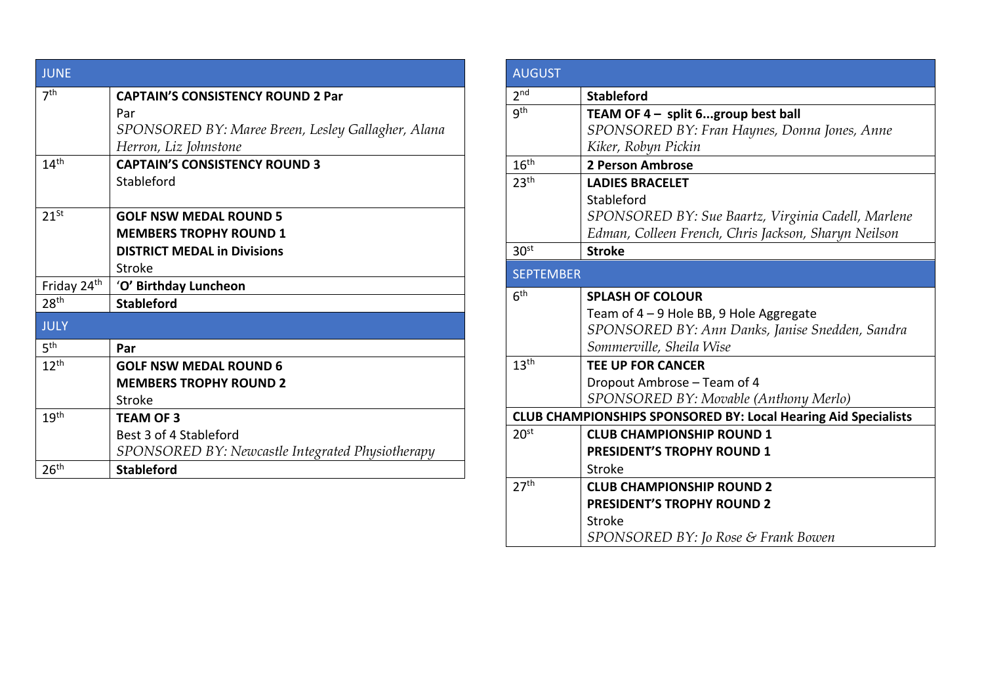| <b>JUNE</b>             |                                                    |
|-------------------------|----------------------------------------------------|
| 7 <sup>th</sup>         | <b>CAPTAIN'S CONSISTENCY ROUND 2 Par</b>           |
|                         | Par                                                |
|                         | SPONSORED BY: Maree Breen, Lesley Gallagher, Alana |
|                         | Herron, Liz Johnstone                              |
| 14 <sup>th</sup>        | <b>CAPTAIN'S CONSISTENCY ROUND 3</b>               |
|                         | Stableford                                         |
|                         |                                                    |
| $21^{St}$               | <b>GOLF NSW MEDAL ROUND 5</b>                      |
|                         | <b>MEMBERS TROPHY ROUND 1</b>                      |
|                         | <b>DISTRICT MEDAL in Divisions</b>                 |
|                         | Stroke                                             |
| Friday 24 <sup>th</sup> | 'O' Birthday Luncheon                              |
| 28 <sup>th</sup>        | <b>Stableford</b>                                  |
| <b>JULY</b>             |                                                    |
| 5 <sup>th</sup>         | Par                                                |
| 12 <sup>th</sup>        | <b>GOLF NSW MEDAL ROUND 6</b>                      |
|                         | <b>MEMBERS TROPHY ROUND 2</b>                      |
|                         | Stroke                                             |
| 19 <sup>th</sup>        | <b>TEAM OF 3</b>                                   |
|                         | Best 3 of 4 Stableford                             |
|                         | SPONSORED BY: Newcastle Integrated Physiotherapy   |
| 26 <sup>th</sup>        | <b>Stableford</b>                                  |

| <b>AUGUST</b>    |                                                                       |  |
|------------------|-----------------------------------------------------------------------|--|
| 2 <sub>nd</sub>  | <b>Stableford</b>                                                     |  |
| gth              | TEAM OF 4 - split 6group best ball                                    |  |
|                  | SPONSORED BY: Fran Haynes, Donna Jones, Anne                          |  |
|                  | Kiker, Robyn Pickin                                                   |  |
| 16 <sup>th</sup> | 2 Person Ambrose                                                      |  |
| 23 <sup>th</sup> | <b>LADIES BRACELET</b>                                                |  |
|                  | Stableford                                                            |  |
|                  | SPONSORED BY: Sue Baartz, Virginia Cadell, Marlene                    |  |
|                  | Edman, Colleen French, Chris Jackson, Sharyn Neilson                  |  |
| 30 <sup>st</sup> | <b>Stroke</b>                                                         |  |
| <b>SEPTEMBER</b> |                                                                       |  |
| 6 <sup>th</sup>  | <b>SPLASH OF COLOUR</b>                                               |  |
|                  | Team of 4 - 9 Hole BB, 9 Hole Aggregate                               |  |
|                  | SPONSORED BY: Ann Danks, Janise Snedden, Sandra                       |  |
|                  | Sommerville, Sheila Wise                                              |  |
| 13 <sup>th</sup> | <b>TEE UP FOR CANCER</b>                                              |  |
|                  | Dropout Ambrose - Team of 4                                           |  |
|                  | SPONSORED BY: Movable (Anthony Merlo)                                 |  |
|                  | <b>CLUB CHAMPIONSHIPS SPONSORED BY: Local Hearing Aid Specialists</b> |  |
| 20 <sup>st</sup> | <b>CLUB CHAMPIONSHIP ROUND 1</b>                                      |  |
|                  | PRESIDENT'S TROPHY ROUND 1                                            |  |
|                  | Stroke                                                                |  |
| 27 <sup>th</sup> | <b>CLUB CHAMPIONSHIP ROUND 2</b>                                      |  |
|                  | <b>PRESIDENT'S TROPHY ROUND 2</b>                                     |  |
|                  | Stroke                                                                |  |
|                  | SPONSORED BY: Jo Rose & Frank Bowen                                   |  |